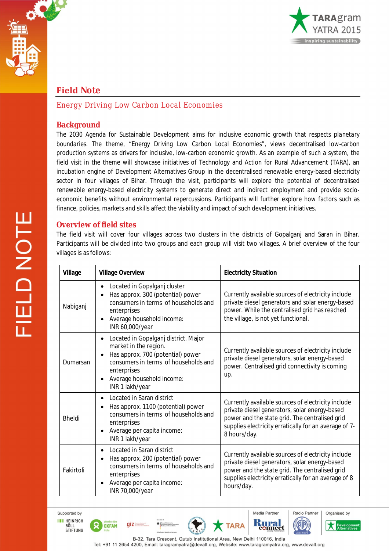



## **Field Note**

### *Energy Driving Low Carbon Local Economies*

#### **Background**

The 2030 Agenda for Sustainable Development aims for *inclusive* economic growth that *respects planetary boundaries*. The theme, "Energy Driving Low Carbon Local Economies", views decentralised low-carbon production systems as drivers for inclusive, low-carbon economic growth. As an example of such a system, the field visit in the theme will showcase initiatives of Technology and Action for Rural Advancement (TARA), an incubation engine of Development Alternatives Group in the decentralised renewable energy-based electricity sector in four villages of Bihar. Through the visit, participants will explore the potential of decentralised renewable energy-based electricity systems to generate direct and indirect employment and provide socioeconomic benefits without environmental repercussions. Participants will further explore how factors such as finance, policies, markets and skills affect the viability and impact of such development initiatives.

#### **Overview of field sites**

The field visit will cover four villages across two clusters in the districts of Gopalganj and Saran in Bihar. Participants will be divided into two groups and each group will visit two villages. A brief overview of the four villages is as follows:

| <b>Village</b> | <b>Village Overview</b>                                                                                                                                                                                                | <b>Electricity Situation</b>                                                                                                                                                                                                   |
|----------------|------------------------------------------------------------------------------------------------------------------------------------------------------------------------------------------------------------------------|--------------------------------------------------------------------------------------------------------------------------------------------------------------------------------------------------------------------------------|
| Nabiganj       | Located in Gopalganj cluster<br>Has approx. 300 (potential) power<br>consumers in terms of households and<br>enterprises<br>Average household income:<br>$\bullet$<br>INR 60,000/year                                  | Currently available sources of electricity include<br>private diesel generators and solar energy-based<br>power. While the centralised grid has reached<br>the village, is not yet functional.                                 |
| Dumarsan       | Located in Gopalganj district. Major<br>$\bullet$<br>market in the region.<br>Has approx. 700 (potential) power<br>consumers in terms of households and<br>enterprises<br>Average household income:<br>INR 1 lakh/year | Currently available sources of electricity include<br>private diesel generators, solar energy-based<br>power. Centralised grid connectivity is coming<br>up.                                                                   |
| <b>Bheldi</b>  | Located in Saran district<br>Has approx. 1100 (potential) power<br>consumers in terms of households and<br>enterprises<br>Average per capita income:<br>INR 1 lakh/year                                                | Currently available sources of electricity include<br>private diesel generators, solar energy-based<br>power and the state grid. The centralised grid<br>supplies electricity erratically for an average of 7-<br>8 hours/day. |
| Fakirtoli      | Located in Saran district<br>Has approx. 200 (potential) power<br>consumers in terms of households and<br>enterprises<br>Average per capita income:<br>INR 70,000/year                                                 | Currently available sources of electricity include<br>private diesel generators, solar energy-based<br>power and the state grid. The centralised grid<br>supplies electricity erratically for an average of 8<br>hours/day.    |

Supported by **THE HEINRICH** 

**BÖLL<br>STIFTUNG** 

 $q\bar{z}$ 

OXFAM







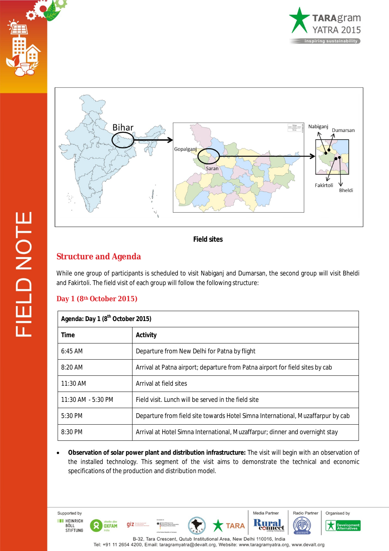





*Field sites*

# **Structure and Agenda**

While one group of participants is scheduled to visit Nabiganj and Dumarsan, the second group will visit Bheldi and Fakirtoli. The field visit of each group will follow the following structure:

## **Day 1 (8th October 2015)**

Supported by

**THE HEINRICH** 

BÖLL<br>STIFTUNG

 $\Omega$ 

OXFAM

 $giz =$ 

| Agenda: Day 1 (8 <sup>th</sup> October 2015) |                                                                                 |  |
|----------------------------------------------|---------------------------------------------------------------------------------|--|
| <b>Time</b>                                  | <b>Activity</b>                                                                 |  |
| $6:45$ AM                                    | Departure from New Delhi for Patna by flight                                    |  |
| $8:20$ AM                                    | Arrival at Patna airport; departure from Patna airport for field sites by cab   |  |
| $11:30$ AM                                   | Arrival at field sites                                                          |  |
| 11:30 AM - 5:30 PM                           | Field visit. Lunch will be served in the field site                             |  |
| 5:30 PM                                      | Departure from field site towards Hotel Simna International, Muzaffarpur by cab |  |
| $8:30$ PM                                    | Arrival at Hotel Simna International, Muzaffarpur; dinner and overnight stay    |  |

 **Observation of solar power plant and distribution infrastructure:** The visit will begin with an observation of the installed technology. This segment of the visit aims to demonstrate the technical and economic specifications of the production and distribution model.

B-32, Tara Crescent, Qutub Institutional Area, New Delhi 110016, India Tel: +91 11 2654 4200, Email: taragramyatra@devalt.org, Website: www.taragramyatra.org, www.devalt.org

Media Partner

Кī

**TARA** 



Devel

**AP**